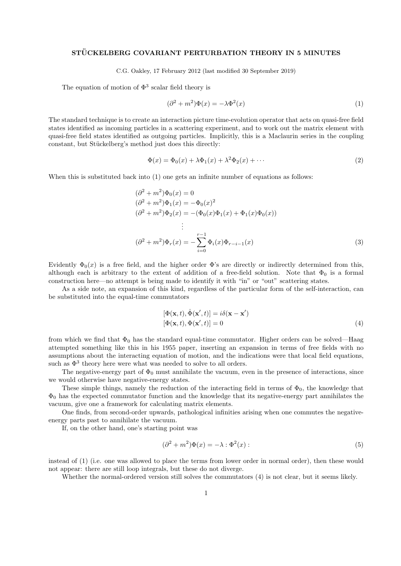## STÜCKELBERG COVARIANT PERTURBATION THEORY IN 5 MINUTES

C.G. Oakley, 17 February 2012 (last modified 30 September 2019)

The equation of motion of  $\Phi^3$  scalar field theory is

$$
(\partial^2 + m^2)\Phi(x) = -\lambda \Phi^2(x)
$$
 (1)

The standard technique is to create an interaction picture time-evolution operator that acts on quasi-free field states identified as incoming particles in a scattering experiment, and to work out the matrix element with quasi-free field states identified as outgoing particles. Implicitly, this is a Maclaurin series in the coupling constant, but Stückelberg's method just does this directly:

$$
\Phi(x) = \Phi_0(x) + \lambda \Phi_1(x) + \lambda^2 \Phi_2(x) + \cdots
$$
\n(2)

When this is substituted back into  $(1)$  one gets an infinite number of equations as follows:

$$
(\partial^2 + m^2)\Phi_0(x) = 0
$$
  
\n
$$
(\partial^2 + m^2)\Phi_1(x) = -\Phi_0(x)^2
$$
  
\n
$$
(\partial^2 + m^2)\Phi_2(x) = -(\Phi_0(x)\Phi_1(x) + \Phi_1(x)\Phi_0(x))
$$
  
\n
$$
\vdots
$$
  
\n
$$
(\partial^2 + m^2)\Phi_r(x) = -\sum_{i=0}^{r-1} \Phi_i(x)\Phi_{r-i-1}(x)
$$
\n(3)

Evidently  $\Phi_0(x)$  is a free field, and the higher order  $\Phi$ 's are directly or indirectly determined from this, although each is arbitrary to the extent of addition of a free-field solution. Note that  $\Phi_0$  is a formal construction here—no attempt is being made to identify it with "in" or "out" scattering states.

As a side note, an expansion of this kind, regardless of the particular form of the self-interaction, can be substituted into the equal-time commutators

$$
[\Phi(\mathbf{x},t), \dot{\Phi}(\mathbf{x}',t)] = i\delta(\mathbf{x} - \mathbf{x}')
$$
  

$$
[\Phi(\mathbf{x},t), \Phi(\mathbf{x}',t)] = 0
$$
 (4)

from which we find that  $\Phi_0$  has the standard equal-time commutator. Higher orders can be solved—Haag attempted something like this in his 1955 paper, inserting an expansion in terms of free fields with no assumptions about the interacting equation of motion, and the indications were that local field equations, such as  $\Phi^3$  theory here were what was needed to solve to all orders.

The negative-energy part of  $\Phi_0$  must annihilate the vacuum, even in the presence of interactions, since we would otherwise have negative-energy states.

These simple things, namely the reduction of the interacting field in terms of  $\Phi_0$ , the knowledge that  $\Phi_0$  has the expected commutator function and the knowledge that its negative-energy part annihilates the vacuum, give one a framework for calculating matrix elements.

One finds, from second-order upwards, pathological infinities arising when one commutes the negativeenergy parts past to annihilate the vacuum.

If, on the other hand, one's starting point was

$$
(\partial^2 + m^2)\Phi(x) = -\lambda : \Phi^2(x): \tag{5}
$$

instead of (1) (i.e. one was allowed to place the terms from lower order in normal order), then these would not appear: there are still loop integrals, but these do not diverge.

Whether the normal-ordered version still solves the commutators (4) is not clear, but it seems likely.